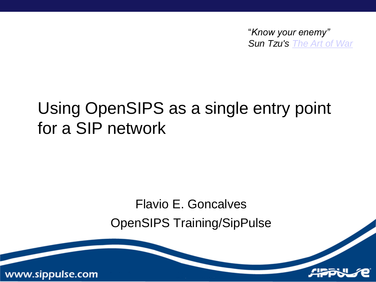"*Know your enemy" Sun Tzu's [The Art of War](http://en.wikipedia.org/wiki/The_Art_of_War)*

#### Using OpenSIPS as a single entry point for a SIP network

#### Flavio E. Goncalves

OpenSIPS Training/SipPulse

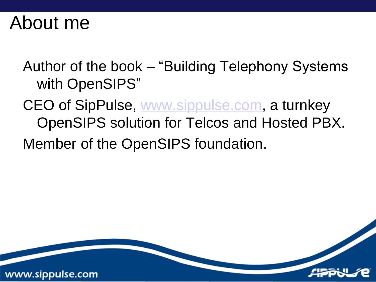#### About me

www.sippulse.com

Author of the book – "Building Telephony Systems with OpenSIPS"

CEO of SipPulse, [www.sippulse.com,](http://www.sippulse.com/) a turnkey OpenSIPS solution for Telcos and Hosted PBX.

Member of the OpenSIPS foundation.

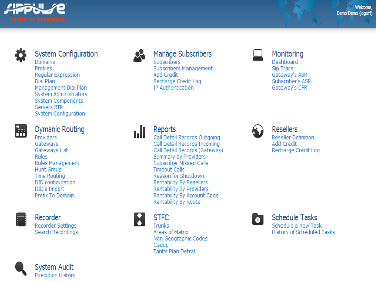

#### System Configuration

Domains **Profiles Regular Expression** Dial Plan Management Dial Plan **System Administrators System Components** Servers RTP **System Configuration** 



#### Dymanic Routing

Providers Gateways Gateways List **Rules** Rules Management **Hunt Group Time Routing** DID configuration DID's Import Prefix To Domain



Recorder **Recorder Settings** Search Recordings



ъU

#### Manage Subscribers

Subscribers **Subscribers Management** Add Credit Recharge Credit Log **IP Authentication** 

#### Reports

Call Detail Records Outgoing Call Detail Records Incoming Call Detail Records (Gateway) **Summary by Providers Subscriber Missed Calls Timeout Calls** Reason for Shutdown **Rentability By Resellers Rentability By Providers** Rentability By Account Code Rentability By Route



Trunks

Areas of Matrix Non-Geographic Codes Cadup **Tariffs Plan Detraf** 



Monitoring

Dashboard Sip Trace Gateway's ASR Subscriber's ASR Gateway's CFR



#### **Resellers**

**Reseller Definition** Add Credit Recharge Credit Log



#### **Schedule Tasks**

Schedule a new Task **History of Scheduled Tasks** 

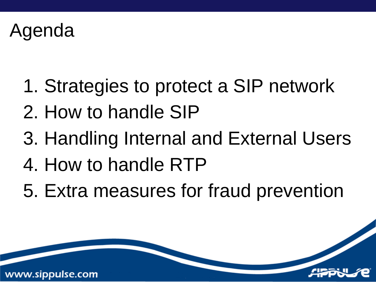#### Agenda

- 1. Strategies to protect a SIP network
- 2. How to handle SIP
- 3. Handling Internal and External Users
- 4. How to handle RTP
- 5. Extra measures for fraud prevention

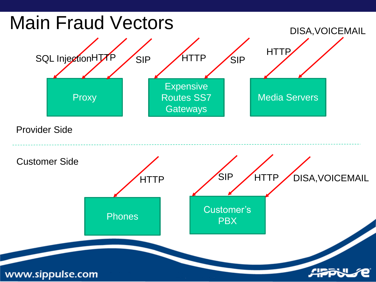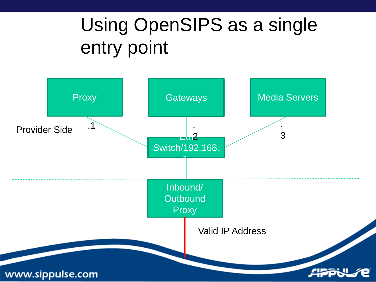### Using OpenSIPS as a single entry point

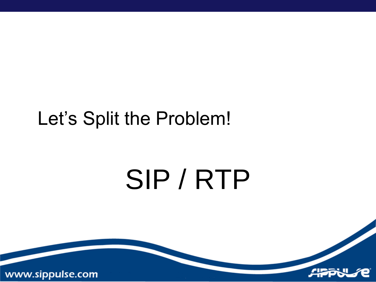### Let's Split the Problem!

# SIP / RTP

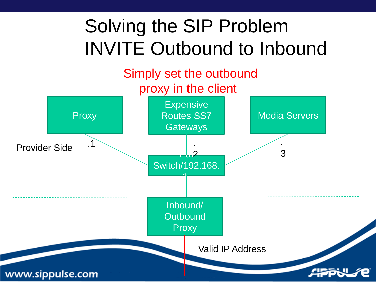### Solving the SIP Problem INVITE Outbound to Inbound

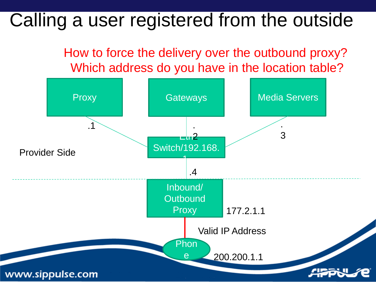#### Calling a user registered from the outside

How to force the delivery over the outbound proxy? Which address do you have in the location table?

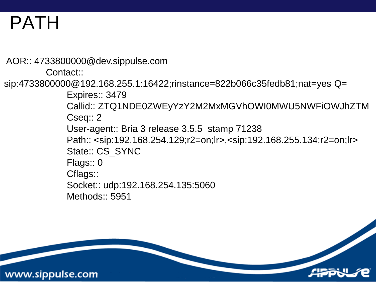### PATH

www.sippulse.com

AOR:: 4733800000@dev.sippulse.com Contact:: sip:4733800000@192.168.255.1:16422;rinstance=822b066c35fedb81;nat=yes Q= Expires:: 3479 Callid:: ZTQ1NDE0ZWEyYzY2M2MxMGVhOWI0MWU5NWFiOWJhZTM Cseq:: 2 User-agent:: Bria 3 release 3.5.5 stamp 71238 Path:: <sip:192.168.254.129;r2=on;lr>,<sip:192.168.255.134;r2=on;lr> State:: CS\_SYNC Flags:: 0 Cflags:: Socket:: udp:192.168.254.135:5060 Methods:: 5951

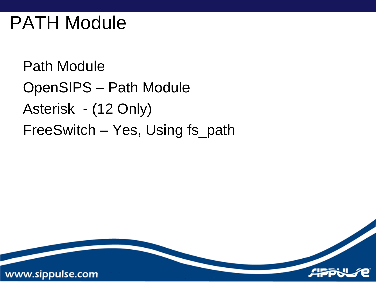### PATH Module

www.sippulse.com

Path Module OpenSIPS – Path Module Asterisk - (12 Only) FreeSwitch – Yes, Using fs\_path

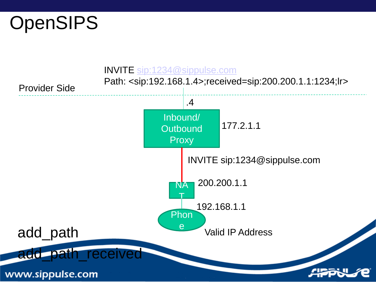

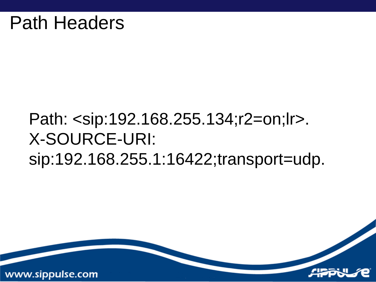#### Path: <sip:192.168.255.134;r2=on;lr>. X-SOURCE-URI: sip:192.168.255.1:16422;transport=udp.

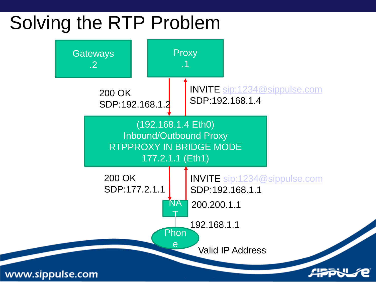### Solving the RTP Problem

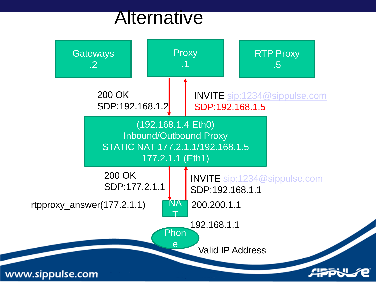#### **Alternative**

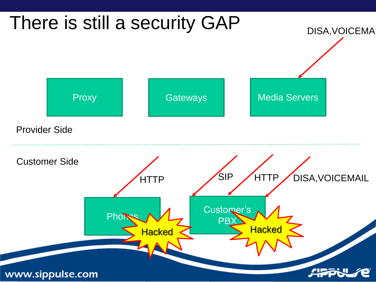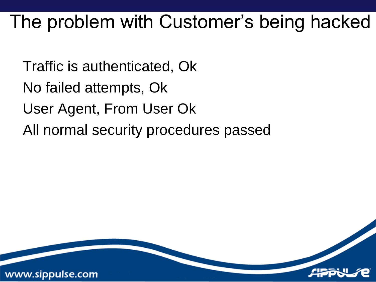### The problem with Customer's being hacked

Traffic is authenticated, Ok No failed attempts, Ok User Agent, From User Ok All normal security procedures passed

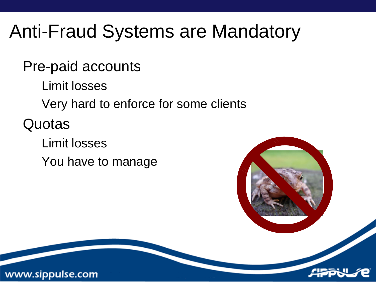### Anti-Fraud Systems are Mandatory

Pre-paid accounts

Limit losses

Very hard to enforce for some clients

**Quotas** 

Limit losses You have to manage



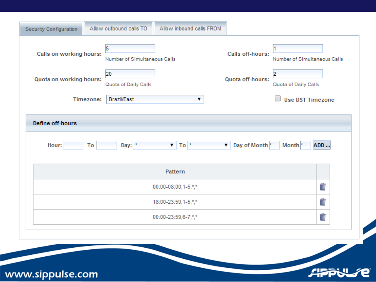| Calls on working hours: | 5<br>Number of Simultaneous Calls<br>20 |         | Calls off-hours:<br>Quota off-hours: | Number of Simultaneous Calls<br>12 |
|-------------------------|-----------------------------------------|---------|--------------------------------------|------------------------------------|
| Quota on working hours: | Quota of Daily Calls                    |         |                                      | Quota of Daily Calls               |
| Timezone:               | <b>Brazil/East</b>                      | ▼       |                                      | <b>Use DST Timezone</b>            |
|                         |                                         | Pattern |                                      |                                    |
| 00:00-08:00,1-5,*,*     |                                         |         |                                      | Ŵ                                  |
| 18:00-23:59,1-5,*,*     |                                         |         |                                      | Ť                                  |
| 00:00-23:59,6-7,*,*     |                                         |         |                                      | Ť                                  |
|                         |                                         |         |                                      |                                    |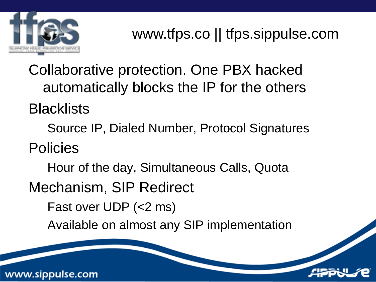

Collaborative protection. One PBX hacked automatically blocks the IP for the others **Blacklists** 

Source IP, Dialed Number, Protocol Signatures

Policies

Hour of the day, Simultaneous Calls, Quota

Mechanism, SIP Redirect

Fast over UDP (<2 ms)

Available on almost any SIP implementation

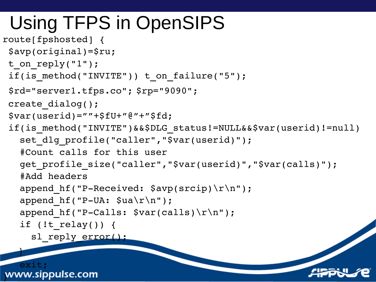### Using TFPS in OpenSIPS

```
route[fpshosted] {
 $avp(original)=$ru;
t on reply("1");
 if(is method("INVITE")) t on failure("5");
 $rd="server1.tfps.co"; $rp="9090";
 create dialog();
 $var(userid) = " "+$fU+ "@ "+ "$fd;if(is_method("INVITE")&&$DLG_status!=NULL&&$var(userid)!=null)
   set dlg profile("caller","$var(userid)");
   #Count calls for this user
   get profile size("caller","$var(userid)","$var(calls)");
   #Add headers
   append hf("P-Received: $avp(srcip)\r\nu');
   append hf("P-UA: \alpha \r\n");
   append hf("P-Calls: $var(calls)\r\n\ldots;
   if (!t relay()) {
     sl reply error();
   }
   exit;
```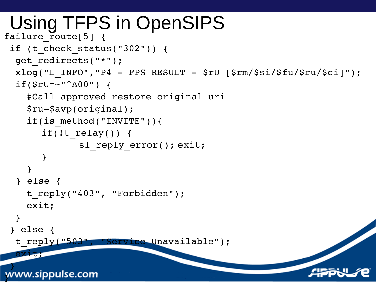#### Using TFPS in OpenSIPS failure route[5]  $\{$

```
if (t_check_status("302")) {
 get_redirects("*");
 xlog('L INFO", "P4 - FPS RESULT - $rU [$rm/$si/$fu/$ru/$ci]");
 if(Sru=-"^AAO0") {
    #Call approved restore original uri
    $ru=$avp(original);
    if(is method("INVITE")){
      if(!t relay()) {
             sl reply error(); exit;
       }
    }
  } else {
    t reply("403", "Forbidden");
    exit;
  }
 } else {
 t reply("503", "Service Unavailable");
 exit;
 }
www.sippulse.com
```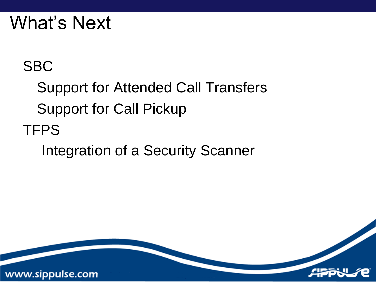### What's Next

#### SBC

Support for Attended Call Transfers Support for Call Pickup TFPS

Integration of a Security Scanner